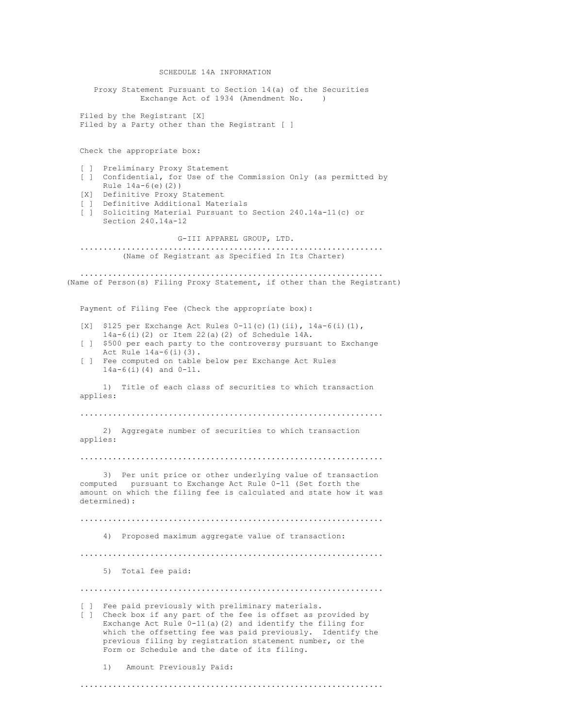SCHEDULE 14A INFORMATION Proxy Statement Pursuant to Section 14(a) of the Securities Exchange Act of 1934 (Amendment No. ) Filed by the Registrant [X] Filed by a Party other than the Registrant [ ] Check the appropriate box: [ ] Preliminary Proxy Statement [ ] Confidential, for Use of the Commission Only (as permitted by Rule 14a-6(e)(2)) [X] Definitive Proxy Statement [ ] Definitive Additional Materials [ ] Soliciting Material Pursuant to Section 240.14a-11(c) or Section 240.14a-12 G-III APPAREL GROUP, LTD. ................................................................. (Name of Registrant as Specified In Its Charter) ................................................................. (Name of Person(s) Filing Proxy Statement, if other than the Registrant) Payment of Filing Fee (Check the appropriate box): [X] \$125 per Exchange Act Rules  $0-11$ (c)(1)(ii),  $14a-6$ (i)(1), 14a-6(i)(2) or Item 22(a)(2) of Schedule 14A. [ ] \$500 per each party to the controversy pursuant to Exchange Act Rule 14a-6(i)(3). [ ] Fee computed on table below per Exchange Act Rules 14a-6(i)(4) and 0-11. 1) Title of each class of securities to which transaction applies: ................................................................. 2) Aggregate number of securities to which transaction applies: ................................................................. 3) Per unit price or other underlying value of transaction computed pursuant to Exchange Act Rule 0-11 (Set forth the amount on which the filing fee is calculated and state how it was determined): ................................................................. 4) Proposed maximum aggregate value of transaction: ................................................................. 5) Total fee paid: ................................................................. [ ] Fee paid previously with preliminary materials. [ ] Check box if any part of the fee is offset as provided by Exchange Act Rule 0-11(a)(2) and identify the filing for which the offsetting fee was paid previously. Identify the previous filing by registration statement number, or the Form or Schedule and the date of its filing. 1) Amount Previously Paid: .................................................................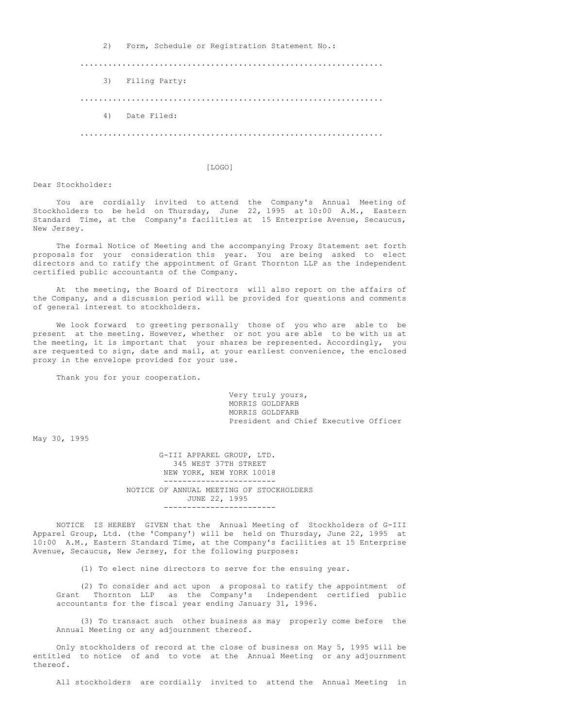2) Form, Schedule or Registration Statement No.:

................................................................. 3) Filing Party: ................................................................. 4) Date Filed: .................................................................

# [LOGO]

Dear Stockholder:

You are cordially invited to attend the Company's Annual Meeting of Stockholders to be held on Thursday, June 22, 1995 at 10:00 A.M., Eastern Standard Time, at the Company's facilities at 15 Enterprise Avenue, Secaucus, New Jersey.

The formal Notice of Meeting and the accompanying Proxy Statement set forth proposals for your consideration this year. You are being asked to elect directors and to ratify the appointment of Grant Thornton LLP as the independent certified public accountants of the Company.

At the meeting, the Board of Directors will also report on the affairs of the Company, and a discussion period will be provided for questions and comments of general interest to stockholders.

We look forward to greeting personally those of you who are able to be present at the meeting. However, whether or not you are able to be with us at the meeting, it is important that your shares be represented. Accordingly, you are requested to sign, date and mail, at your earliest convenience, the enclosed proxy in the envelope provided for your use.

Thank you for your cooperation.

Very truly yours, MORRIS GOLDFARB MORRIS GOLDFARB President and Chief Executive Officer

May 30, 1995

G-III APPAREL GROUP, LTD. 345 WEST 37TH STREET NEW YORK, NEW YORK 10018 ------------------------ NOTICE OF ANNUAL MEETING OF STOCKHOLDERS JUNE 22, 1995 ------------------------

NOTICE IS HEREBY GIVEN that the Annual Meeting of Stockholders of G-III Apparel Group, Ltd. (the 'Company') will be held on Thursday, June 22, 1995 at 10:00 A.M., Eastern Standard Time, at the Company's facilities at 15 Enterprise Avenue, Secaucus, New Jersey, for the following purposes:

(1) To elect nine directors to serve for the ensuing year.

(2) To consider and act upon a proposal to ratify the appointment of Grant Thornton LLP as the Company's independent certified public accountants for the fiscal year ending January 31, 1996.

(3) To transact such other business as may properly come before the Annual Meeting or any adjournment thereof.

Only stockholders of record at the close of business on May 5, 1995 will be entitled to notice of and to vote at the Annual Meeting or any adjournment thereof.

All stockholders are cordially invited to attend the Annual Meeting in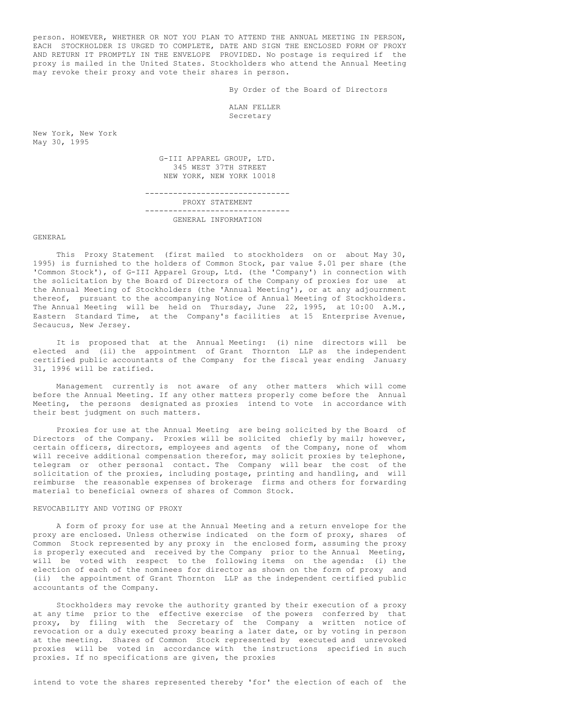person. HOWEVER, WHETHER OR NOT YOU PLAN TO ATTEND THE ANNUAL MEETING IN PERSON, EACH STOCKHOLDER IS URGED TO COMPLETE, DATE AND SIGN THE ENCLOSED FORM OF PROXY AND RETURN IT PROMPTLY IN THE ENVELOPE PROVIDED. No postage is required if the proxy is mailed in the United States. Stockholders who attend the Annual Meeting may revoke their proxy and vote their shares in person.

By Order of the Board of Directors

ALAN FELLER Secretary

New York, New York May 30, 1995

> G-III APPAREL GROUP, LTD. 345 WEST 37TH STREET NEW YORK, NEW YORK 10018 -------------------------------

> PROXY STATEMENT ------------------------------- GENERAL INFORMATION

#### GENERAL

This Proxy Statement (first mailed to stockholders on or about May 30, 1995) is furnished to the holders of Common Stock, par value \$.01 per share (the 'Common Stock'), of G-III Apparel Group, Ltd. (the 'Company') in connection with the solicitation by the Board of Directors of the Company of proxies for use at the Annual Meeting of Stockholders (the 'Annual Meeting'), or at any adjournment thereof, pursuant to the accompanying Notice of Annual Meeting of Stockholders. The Annual Meeting will be held on Thursday, June 22, 1995, at 10:00 A.M., Eastern Standard Time, at the Company's facilities at 15 Enterprise Avenue, Secaucus, New Jersey.

It is proposed that at the Annual Meeting: (i) nine directors will be elected and (ii) the appointment of Grant Thornton LLP as the independent certified public accountants of the Company for the fiscal year ending January 31, 1996 will be ratified.

Management currently is not aware of any other matters which will come before the Annual Meeting. If any other matters properly come before the Annual Meeting, the persons designated as proxies intend to vote in accordance with their best judgment on such matters.

Proxies for use at the Annual Meeting are being solicited by the Board of Directors of the Company. Proxies will be solicited chiefly by mail; however, certain officers, directors, employees and agents of the Company, none of whom will receive additional compensation therefor, may solicit proxies by telephone, telegram or other personal contact. The Company will bear the cost of the solicitation of the proxies, including postage, printing and handling, and will reimburse the reasonable expenses of brokerage firms and others for forwarding material to beneficial owners of shares of Common Stock.

### REVOCABILITY AND VOTING OF PROXY

A form of proxy for use at the Annual Meeting and a return envelope for the proxy are enclosed. Unless otherwise indicated on the form of proxy, shares of Common Stock represented by any proxy in the enclosed form, assuming the proxy is properly executed and received by the Company prior to the Annual Meeting, will be voted with respect to the following items on the agenda: (i) the election of each of the nominees for director as shown on the form of proxy and (ii) the appointment of Grant Thornton LLP as the independent certified public accountants of the Company.

Stockholders may revoke the authority granted by their execution of a proxy at any time prior to the effective exercise of the powers conferred by that proxy, by filing with the Secretary of the Company a written notice of revocation or a duly executed proxy bearing a later date, or by voting in person at the meeting. Shares of Common Stock represented by executed and unrevoked proxies will be voted in accordance with the instructions specified in such proxies. If no specifications are given, the proxies

intend to vote the shares represented thereby 'for' the election of each of the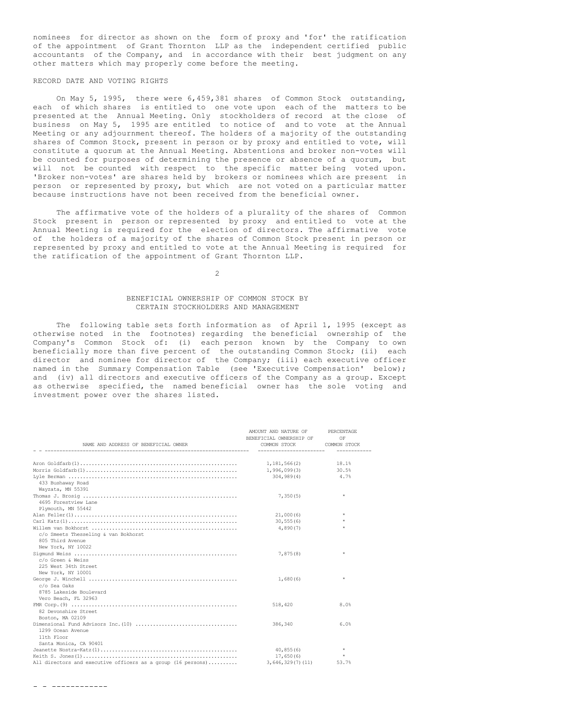nominees for director as shown on the form of proxy and 'for' the ratification of the appointment of Grant Thornton LLP as the independent certified public accountants of the Company, and in accordance with their best judgment on any other matters which may properly come before the meeting.

# RECORD DATE AND VOTING RIGHTS

On May 5, 1995, there were 6,459,381 shares of Common Stock outstanding, each of which shares is entitled to one vote upon each of the matters to be presented at the Annual Meeting. Only stockholders of record at the close of business on May 5, 1995 are entitled to notice of and to vote at the Annual Meeting or any adjournment thereof. The holders of a majority of the outstanding shares of Common Stock, present in person or by proxy and entitled to vote, will constitute a quorum at the Annual Meeting. Abstentions and broker non-votes will be counted for purposes of determining the presence or absence of a quorum, but will not be counted with respect to the specific matter being voted upon. 'Broker non-votes' are shares held by brokers or nominees which are present in person or represented by proxy, but which are not voted on a particular matter because instructions have not been received from the beneficial owner.

The affirmative vote of the holders of a plurality of the shares of Common Stock present in person or represented by proxy and entitled to vote at the Annual Meeting is required for the election of directors. The affirmative vote of the holders of a majority of the shares of Common Stock present in person or represented by proxy and entitled to vote at the Annual Meeting is required for the ratification of the appointment of Grant Thornton LLP.

 $\mathfrak{D}$ 

# BENEFICIAL OWNERSHIP OF COMMON STOCK BY CERTAIN STOCKHOLDERS AND MANAGEMENT

The following table sets forth information as of April 1, 1995 (except as otherwise noted in the footnotes) regarding the beneficial ownership of the Company's Common Stock of: (i) each person known by the Company to own beneficially more than five percent of the outstanding Common Stock; (ii) each director and nominee for director of the Company; (iii) each executive officer named in the Summary Compensation Table (see 'Executive Compensation' below); and (iv) all directors and executive officers of the Company as a group. Except as otherwise specified, the named beneficial owner has the sole voting and investment power over the shares listed.

| NAME AND ADDRESS OF BENEFICIAL OWNER                         | AMOUNT AND NATURE OF PERCENTAGE<br>BENEFICIAL OWNERSHIP OF<br>COMMON STOCK COMMON STOCK | OF           |
|--------------------------------------------------------------|-----------------------------------------------------------------------------------------|--------------|
|                                                              |                                                                                         | ------------ |
|                                                              |                                                                                         |              |
|                                                              |                                                                                         | 18.1%        |
|                                                              |                                                                                         |              |
|                                                              | 304,989(4)                                                                              | 4.7%         |
| 433 Bushaway Road                                            |                                                                                         |              |
| Wayzata, MN 55391                                            |                                                                                         |              |
|                                                              | 7,350(5)                                                                                | $\star$      |
| 4695 Forestview Lane                                         |                                                                                         |              |
| Plymouth, MN 55442                                           |                                                                                         |              |
|                                                              | 21,000(6)                                                                               | $\star$      |
|                                                              | 30.555(6)                                                                               |              |
|                                                              | 4,890(7)                                                                                |              |
| c/o Smeets Thesseling & van Bokhorst                         |                                                                                         |              |
| 805 Third Avenue                                             |                                                                                         |              |
| New York, NY 10022                                           |                                                                                         |              |
|                                                              | 7,875(8)                                                                                | $\star$      |
| c/o Green & Weiss                                            |                                                                                         |              |
| 225 West 34th Street                                         |                                                                                         |              |
| New York, NY 10001                                           |                                                                                         |              |
|                                                              | 1,680(6)                                                                                | $\star$      |
| c/o Sea Oaks                                                 |                                                                                         |              |
| 8785 Lakeside Boulevard                                      |                                                                                         |              |
| Vero Beach, FL 32963                                         |                                                                                         |              |
|                                                              | 518,420                                                                                 | 8.0%         |
| 82 Devonshire Street                                         |                                                                                         |              |
| Boston, MA 02109                                             |                                                                                         |              |
|                                                              | 386,340                                                                                 | 6.0%         |
| 1299 Ocean Avenue                                            |                                                                                         |              |
| 11th Floor                                                   |                                                                                         |              |
| Santa Monica, CA 90401                                       |                                                                                         |              |
|                                                              | 40,855(6)                                                                               | $\star$      |
|                                                              | 17,650(6)                                                                               | $\star$      |
| All directors and executive officers as a group (16 persons) | 3,646,329(7)(11)                                                                        | 53.7%        |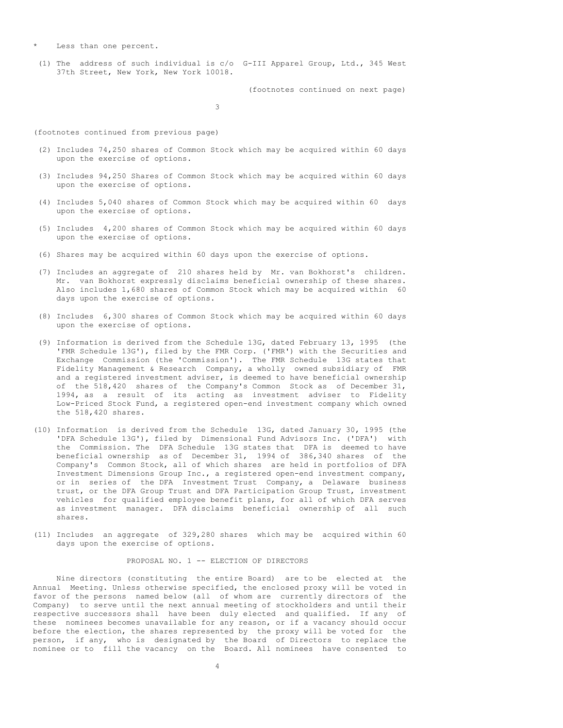\* Less than one percent.

(1) The address of such individual is c/o G-III Apparel Group, Ltd., 345 West 37th Street, New York, New York 10018.

(footnotes continued on next page)

3

(footnotes continued from previous page)

- (2) Includes 74,250 shares of Common Stock which may be acquired within 60 days upon the exercise of options.
- (3) Includes 94,250 Shares of Common Stock which may be acquired within 60 days upon the exercise of options.
- (4) Includes 5,040 shares of Common Stock which may be acquired within 60 days upon the exercise of options.
- (5) Includes 4,200 shares of Common Stock which may be acquired within 60 days upon the exercise of options.
- (6) Shares may be acquired within 60 days upon the exercise of options.
- (7) Includes an aggregate of 210 shares held by Mr. van Bokhorst's children. Mr. van Bokhorst expressly disclaims beneficial ownership of these shares. Also includes 1,680 shares of Common Stock which may be acquired within 60 days upon the exercise of options.
- (8) Includes 6,300 shares of Common Stock which may be acquired within 60 days upon the exercise of options.
- (9) Information is derived from the Schedule 13G, dated February 13, 1995 (the 'FMR Schedule 13G'), filed by the FMR Corp. ('FMR') with the Securities and Exchange Commission (the 'Commission'). The FMR Schedule 13G states that Fidelity Management & Research Company, a wholly owned subsidiary of FMR and a registered investment adviser, is deemed to have beneficial ownership of the 518,420 shares of the Company's Common Stock as of December 31, 1994, as a result of its acting as investment adviser to Fidelity Low-Priced Stock Fund, a registered open-end investment company which owned the 518,420 shares.
- (10) Information is derived from the Schedule 13G, dated January 30, 1995 (the 'DFA Schedule 13G'), filed by Dimensional Fund Advisors Inc. ('DFA') with the Commission. The DFA Schedule 13G states that DFA is deemed to have beneficial ownership as of December 31, 1994 of 386,340 shares of the Company's Common Stock, all of which shares are held in portfolios of DFA Investment Dimensions Group Inc., a registered open-end investment company, or in series of the DFA Investment Trust Company, a Delaware business trust, or the DFA Group Trust and DFA Participation Group Trust, investment vehicles for qualified employee benefit plans, for all of which DFA serves as investment manager. DFA disclaims beneficial ownership of all such shares.
- (11) Includes an aggregate of 329,280 shares which may be acquired within 60 days upon the exercise of options.

## PROPOSAL NO. 1 -- ELECTION OF DIRECTORS

Nine directors (constituting the entire Board) are to be elected at the Annual Meeting. Unless otherwise specified, the enclosed proxy will be voted in favor of the persons named below (all of whom are currently directors of the Company) to serve until the next annual meeting of stockholders and until their respective successors shall have been duly elected and qualified. If any of these nominees becomes unavailable for any reason, or if a vacancy should occur before the election, the shares represented by the proxy will be voted for the person, if any, who is designated by the Board of Directors to replace the nominee or to fill the vacancy on the Board. All nominees have consented to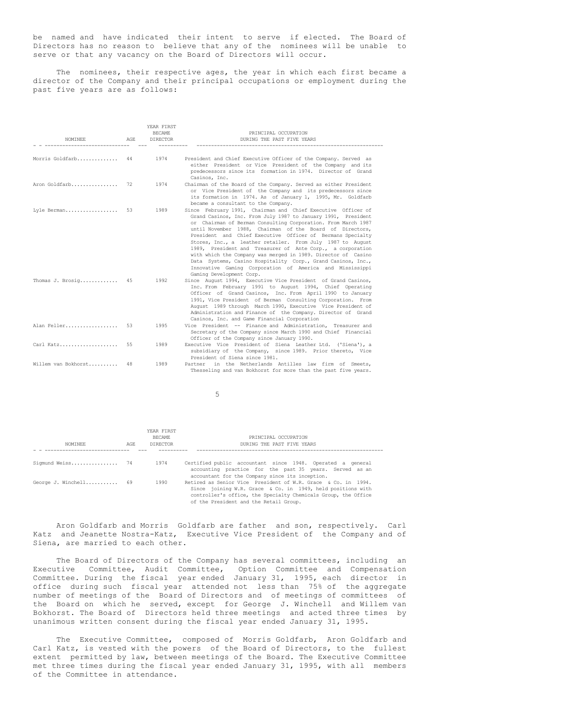be named and have indicated their intent to serve if elected. The Board of Directors has no reason to believe that any of the nominees will be unable to serve or that any vacancy on the Board of Directors will occur.

The nominees, their respective ages, the year in which each first became a director of the Company and their principal occupations or employment during the past five years are as follows:

| NOMINEE             | AGE. | YEAR FIRST<br><b>BECAME</b><br><b>DIRECTOR</b> | PRINCIPAL OCCUPATION<br>DURING THE PAST FIVE YEARS                                                                                                                                                                                                                                                                                                                                                                                                                                                                                                                                                                                                                            |
|---------------------|------|------------------------------------------------|-------------------------------------------------------------------------------------------------------------------------------------------------------------------------------------------------------------------------------------------------------------------------------------------------------------------------------------------------------------------------------------------------------------------------------------------------------------------------------------------------------------------------------------------------------------------------------------------------------------------------------------------------------------------------------|
| Morris Goldfarb 44  |      | 1974                                           | President and Chief Executive Officer of the Company. Served as<br>either President or Vice President of the Company and its<br>predecessors since its formation in 1974. Director of Grand<br>Casinos, Inc.                                                                                                                                                                                                                                                                                                                                                                                                                                                                  |
| Aron Goldfarb       | 72   | 1974                                           | Chairman of the Board of the Company. Served as either President<br>or Vice President of the Company and its predecessors since<br>its formation in 1974. As of January 1, 1995, Mr. Goldfarb<br>became a consultant to the Company.                                                                                                                                                                                                                                                                                                                                                                                                                                          |
| Lyle Berman         | 53   | 1989                                           | Since February 1991, Chairman and Chief Executive Officer of<br>Grand Casinos, Inc. From July 1987 to January 1991, President<br>or Chairman of Berman Consulting Corporation. From March 1987<br>until November 1988, Chairman of the Board of Directors,<br>President and Chief Executive Officer of Bermans Specialty<br>Stores, Inc., a leather retailer. From July 1987 to August<br>1989, President and Treasurer of Ante Corp., a corporation<br>with which the Company was merged in 1989. Director of Casino<br>Data Systems, Casino Hospitality Corp., Grand Casinos, Inc.,<br>Innovative Gaming Corporation of America and Mississippi<br>Gaming Development Corp. |
| Thomas J. Brosig    | 45   | 1992                                           | Since August 1994, Executive Vice President of Grand Casinos,<br>Inc. From February 1991 to August 1994, Chief Operating<br>Officer of Grand Casinos, Inc. From April 1990 to January<br>1991, Vice President of Berman Consulting Corporation. From<br>August 1989 through March 1990, Executive Vice President of<br>Administration and Finance of the Company. Director of Grand<br>Casinos, Inc. and Game Financial Corporation                                                                                                                                                                                                                                           |
| Alan Feller         | 53   | 1995                                           | Vice President -- Finance and Administration, Treasurer and<br>Secretary of the Company since March 1990 and Chief Financial<br>Officer of the Company since January 1990.                                                                                                                                                                                                                                                                                                                                                                                                                                                                                                    |
| Carl Katz           | 55   | 1989                                           | Executive Vice President of Siena Leather Ltd. ('Siena'), a<br>subsidiary of the Company, since 1989. Prior thereto, Vice<br>President of Siena since 1981.                                                                                                                                                                                                                                                                                                                                                                                                                                                                                                                   |
| Willem van Bokhorst | 48   | 1989                                           | Partner in the Netherlands Antilles law firm of Smeets,<br>Thesseling and van Bokhorst for more than the past five years.                                                                                                                                                                                                                                                                                                                                                                                                                                                                                                                                                     |

5

|                       |     | YEAR FIRST      |                                                                                                                                                                                                                                          |
|-----------------------|-----|-----------------|------------------------------------------------------------------------------------------------------------------------------------------------------------------------------------------------------------------------------------------|
|                       |     | <b>BECAME</b>   | PRINCIPAL OCCUPATION                                                                                                                                                                                                                     |
| NOMINEE               | AGE | <b>DIRECTOR</b> | DURING THE PAST FIVE YEARS                                                                                                                                                                                                               |
|                       |     |                 |                                                                                                                                                                                                                                          |
| Sigmund Weiss 74      |     | 1974            | Certified public accountant since 1948. Operated a general<br>accounting practice for the past 35 years. Served as an<br>accountant for the Company since its inception.                                                                 |
| George J. Winchell 69 |     | 1990            | Retired as Senior Vice President of W.R. Grace & Co. in 1994.<br>Since joining W.R. Grace & Co. in 1949, held positions with<br>controller's office, the Specialty Chemicals Group, the Office<br>of the President and the Retail Group. |

Aron Goldfarb and Morris Goldfarb are father and son, respectively. Carl Katz and Jeanette Nostra-Katz, Executive Vice President of the Company and of Siena, are married to each other.

The Board of Directors of the Company has several committees, including an Executive Committee, Audit Committee, Option Committee and Compensation Committee. During the fiscal year ended January 31, 1995, each director in office during such fiscal year attended not less than 75% of the aggregate number of meetings of the Board of Directors and of meetings of committees of the Board on which he served, except for George J. Winchell and Willem van Bokhorst. The Board of Directors held three meetings and acted three times by unanimous written consent during the fiscal year ended January 31, 1995.

The Executive Committee, composed of Morris Goldfarb, Aron Goldfarb and Carl Katz, is vested with the powers of the Board of Directors, to the fullest extent permitted by law, between meetings of the Board. The Executive Committee met three times during the fiscal year ended January 31, 1995, with all members of the Committee in attendance.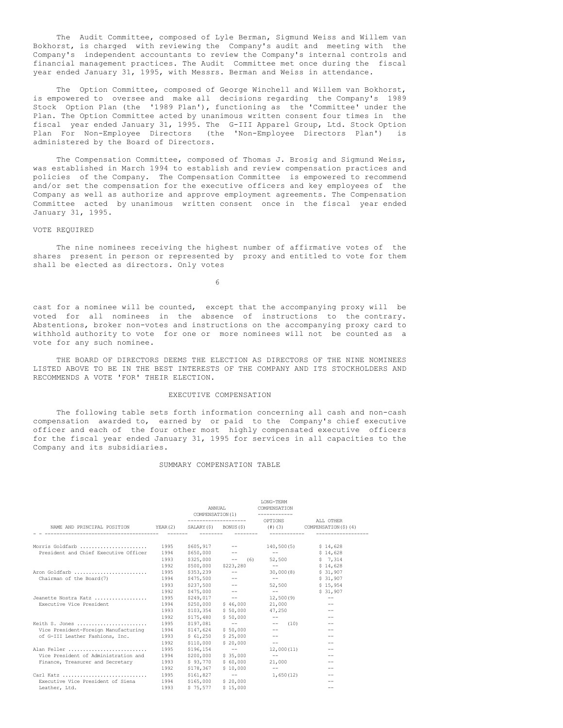The Audit Committee, composed of Lyle Berman, Sigmund Weiss and Willem van Bokhorst, is charged with reviewing the Company's audit and meeting with the Company's independent accountants to review the Company's internal controls and financial management practices. The Audit Committee met once during the fiscal year ended January 31, 1995, with Messrs. Berman and Weiss in attendance.

The Option Committee, composed of George Winchell and Willem van Bokhorst, is empowered to oversee and make all decisions regarding the Company's 1989 Stock Option Plan (the '1989 Plan'), functioning as the 'Committee' under the Plan. The Option Committee acted by unanimous written consent four times in the fiscal year ended January 31, 1995. The G-III Apparel Group, Ltd. Stock Option Plan For Non-Employee Directors (the 'Non-Employee Directors Plan') administered by the Board of Directors.

The Compensation Committee, composed of Thomas J. Brosig and Sigmund Weiss, was established in March 1994 to establish and review compensation practices and policies of the Company. The Compensation Committee is empowered to recommend and/or set the compensation for the executive officers and key employees of the Company as well as authorize and approve employment agreements. The Compensation Committee acted by unanimous written consent once in the fiscal year ended January 31, 1995.

#### VOTE REQUIRED

The nine nominees receiving the highest number of affirmative votes of the shares present in person or represented by proxy and entitled to vote for them shall be elected as directors. Only votes

6

cast for a nominee will be counted, except that the accompanying proxy will be voted for all nominees in the absence of instructions to the contrary. Abstentions, broker non-votes and instructions on the accompanying proxy card to withhold authority to vote for one or more nominees will not be counted as a vote for any such nominee.

THE BOARD OF DIRECTORS DEEMS THE ELECTION AS DIRECTORS OF THE NINE NOMINEES LISTED ABOVE TO BE IN THE BEST INTERESTS OF THE COMPANY AND ITS STOCKHOLDERS AND RECOMMENDS A VOTE 'FOR' THEIR ELECTION.

### EXECUTIVE COMPENSATION

The following table sets forth information concerning all cash and non-cash compensation awarded to, earned by or paid to the Company's chief executive officer and each of the four other most highly compensated executive officers for the fiscal year ended January 31, 1995 for services in all capacities to the Company and its subsidiaries.

#### SUMMARY COMPENSATION TABLE

|                                                                                     |      |           | ANNUAL<br>COMPENSATION (1)                                                                                                                                                                                                                                                                                                                                                                                                                                                 | <b>T.ONG-TERM</b><br>COMPENSATION                                                                                                                                                                                                                                                                                                                                                                                                                                          |                                                |
|-------------------------------------------------------------------------------------|------|-----------|----------------------------------------------------------------------------------------------------------------------------------------------------------------------------------------------------------------------------------------------------------------------------------------------------------------------------------------------------------------------------------------------------------------------------------------------------------------------------|----------------------------------------------------------------------------------------------------------------------------------------------------------------------------------------------------------------------------------------------------------------------------------------------------------------------------------------------------------------------------------------------------------------------------------------------------------------------------|------------------------------------------------|
|                                                                                     |      |           |                                                                                                                                                                                                                                                                                                                                                                                                                                                                            | OPTIONS                                                                                                                                                                                                                                                                                                                                                                                                                                                                    | ALL OTHER                                      |
| NAME AND PRINCIPAL POSITION YEAR(2) SALARY(\$) BONUS(\$) (#)(3) COMPENSATION(\$)(4) |      |           |                                                                                                                                                                                                                                                                                                                                                                                                                                                                            |                                                                                                                                                                                                                                                                                                                                                                                                                                                                            |                                                |
|                                                                                     |      |           |                                                                                                                                                                                                                                                                                                                                                                                                                                                                            |                                                                                                                                                                                                                                                                                                                                                                                                                                                                            |                                                |
| Morris Goldfarb                                                                     | 1995 |           | $$605, 917$ --                                                                                                                                                                                                                                                                                                                                                                                                                                                             |                                                                                                                                                                                                                                                                                                                                                                                                                                                                            | $140,500(5)$ $\frac{14}{628}$                  |
| President and Chief Executive Officer                                               | 1994 |           | $$650,000$ --                                                                                                                                                                                                                                                                                                                                                                                                                                                              | $\mathcal{L} = \mathcal{L}$                                                                                                                                                                                                                                                                                                                                                                                                                                                | \$14,628                                       |
|                                                                                     | 1993 |           | $$325,000$ -- (6)                                                                                                                                                                                                                                                                                                                                                                                                                                                          | 52,500                                                                                                                                                                                                                                                                                                                                                                                                                                                                     | $5 \quad 7.314$                                |
|                                                                                     | 1992 | \$500,000 | \$223,280                                                                                                                                                                                                                                                                                                                                                                                                                                                                  | the company of the company                                                                                                                                                                                                                                                                                                                                                                                                                                                 | \$14,628                                       |
| Aron Goldfarb                                                                       | 1995 |           | $$353,239$ --                                                                                                                                                                                                                                                                                                                                                                                                                                                              | 30,000(8)                                                                                                                                                                                                                                                                                                                                                                                                                                                                  | \$31,907                                       |
| Chairman of the Board (7)                                                           | 1994 | \$475,500 | $\frac{1}{2} \frac{1}{2} \left( \frac{1}{2} \right) \left( \frac{1}{2} \right) \left( \frac{1}{2} \right) \left( \frac{1}{2} \right) \left( \frac{1}{2} \right) \left( \frac{1}{2} \right) \left( \frac{1}{2} \right) \left( \frac{1}{2} \right) \left( \frac{1}{2} \right) \left( \frac{1}{2} \right) \left( \frac{1}{2} \right) \left( \frac{1}{2} \right) \left( \frac{1}{2} \right) \left( \frac{1}{2} \right) \left( \frac{1}{2} \right) \left( \frac{1}{2} \$        | and the company of the company                                                                                                                                                                                                                                                                                                                                                                                                                                             | \$31,907                                       |
|                                                                                     | 1993 | \$237,500 | $\frac{1}{2} \left( \frac{1}{2} \right) \left( \frac{1}{2} \right) \left( \frac{1}{2} \right) \left( \frac{1}{2} \right) \left( \frac{1}{2} \right) \left( \frac{1}{2} \right) \left( \frac{1}{2} \right) \left( \frac{1}{2} \right) \left( \frac{1}{2} \right) \left( \frac{1}{2} \right) \left( \frac{1}{2} \right) \left( \frac{1}{2} \right) \left( \frac{1}{2} \right) \left( \frac{1}{2} \right) \left( \frac{1}{2} \right) \left( \frac{1}{2} \right) \left( \frac$ | 52,500                                                                                                                                                                                                                                                                                                                                                                                                                                                                     | \$15.954                                       |
|                                                                                     | 1992 | \$475,000 | $\frac{1}{2} \left( \frac{1}{2} \right) \left( \frac{1}{2} \right) \left( \frac{1}{2} \right) \left( \frac{1}{2} \right) \left( \frac{1}{2} \right) \left( \frac{1}{2} \right) \left( \frac{1}{2} \right) \left( \frac{1}{2} \right) \left( \frac{1}{2} \right) \left( \frac{1}{2} \right) \left( \frac{1}{2} \right) \left( \frac{1}{2} \right) \left( \frac{1}{2} \right) \left( \frac{1}{2} \right) \left( \frac{1}{2} \right) \left( \frac{1}{2} \right) \left( \frac$ | $\frac{1}{2}$ and $\frac{1}{2}$ and $\frac{1}{2}$                                                                                                                                                                                                                                                                                                                                                                                                                          | \$31,907                                       |
| Jeanette Nostra Katz                                                                | 1995 | \$249,017 | and the contract of                                                                                                                                                                                                                                                                                                                                                                                                                                                        | 12,500(9)                                                                                                                                                                                                                                                                                                                                                                                                                                                                  | $\hspace{0.1mm}-\hspace{0.1mm}-\hspace{0.1mm}$ |
| Executive Vice President                                                            | 1994 | \$250,000 | \$46,000                                                                                                                                                                                                                                                                                                                                                                                                                                                                   | 21,000                                                                                                                                                                                                                                                                                                                                                                                                                                                                     |                                                |
|                                                                                     | 1993 | \$103,354 | \$50.000                                                                                                                                                                                                                                                                                                                                                                                                                                                                   | 47.250                                                                                                                                                                                                                                                                                                                                                                                                                                                                     |                                                |
|                                                                                     | 1992 | \$175,480 | \$50.000                                                                                                                                                                                                                                                                                                                                                                                                                                                                   | $\mathcal{L} = \{ \mathcal{L} \}$ . The set of $\mathcal{L} = \{ \mathcal{L} \}$                                                                                                                                                                                                                                                                                                                                                                                           | $\qquad \qquad -$                              |
| Keith S. Jones                                                                      | 1995 | \$197,081 | <b>Contract Contract Contract</b>                                                                                                                                                                                                                                                                                                                                                                                                                                          | $--$ (10)                                                                                                                                                                                                                                                                                                                                                                                                                                                                  |                                                |
| Vice President-Foreign Manufacturing                                                | 1994 | \$147,624 | \$50.000                                                                                                                                                                                                                                                                                                                                                                                                                                                                   | $\frac{1}{2} \left( \frac{1}{2} \right) \left( \frac{1}{2} \right) \left( \frac{1}{2} \right) \left( \frac{1}{2} \right) \left( \frac{1}{2} \right) \left( \frac{1}{2} \right) \left( \frac{1}{2} \right) \left( \frac{1}{2} \right) \left( \frac{1}{2} \right) \left( \frac{1}{2} \right) \left( \frac{1}{2} \right) \left( \frac{1}{2} \right) \left( \frac{1}{2} \right) \left( \frac{1}{2} \right) \left( \frac{1}{2} \right) \left( \frac{1}{2} \right) \left( \frac$ |                                                |
| of G-III Leather Fashions, Inc.                                                     | 1993 | \$61,250  | \$25.000                                                                                                                                                                                                                                                                                                                                                                                                                                                                   | $\frac{1}{2} \left( \frac{1}{2} \right) \left( \frac{1}{2} \right) \left( \frac{1}{2} \right) \left( \frac{1}{2} \right) \left( \frac{1}{2} \right) \left( \frac{1}{2} \right) \left( \frac{1}{2} \right) \left( \frac{1}{2} \right) \left( \frac{1}{2} \right) \left( \frac{1}{2} \right) \left( \frac{1}{2} \right) \left( \frac{1}{2} \right) \left( \frac{1}{2} \right) \left( \frac{1}{2} \right) \left( \frac{1}{2} \right) \left( \frac{1}{2} \right) \left( \frac$ | $\qquad \qquad -$                              |
|                                                                                     | 1992 | \$110,000 | \$20.000                                                                                                                                                                                                                                                                                                                                                                                                                                                                   | $- -$                                                                                                                                                                                                                                                                                                                                                                                                                                                                      | $\qquad \qquad -$                              |
| Alan Feller                                                                         | 1995 | \$196,154 | and the contract of the                                                                                                                                                                                                                                                                                                                                                                                                                                                    | 12,000(11)                                                                                                                                                                                                                                                                                                                                                                                                                                                                 |                                                |
| Vice President of Administration and                                                | 1994 | \$200,000 | \$35.000                                                                                                                                                                                                                                                                                                                                                                                                                                                                   | $ -$                                                                                                                                                                                                                                                                                                                                                                                                                                                                       |                                                |
| Finance, Treasurer and Secretary                                                    | 1993 | \$93.770  | \$60,000                                                                                                                                                                                                                                                                                                                                                                                                                                                                   | 21,000                                                                                                                                                                                                                                                                                                                                                                                                                                                                     | $\qquad \qquad -$                              |
|                                                                                     | 1992 | \$178,367 | \$10,000                                                                                                                                                                                                                                                                                                                                                                                                                                                                   | $\qquad \qquad -$                                                                                                                                                                                                                                                                                                                                                                                                                                                          | $-$                                            |
| Carl Katz                                                                           | 1995 | \$161,827 | <b>Service Contracts</b>                                                                                                                                                                                                                                                                                                                                                                                                                                                   | 1,650(12)                                                                                                                                                                                                                                                                                                                                                                                                                                                                  |                                                |
| Executive Vice President of Siena                                                   | 1994 | \$165,000 | \$20.000                                                                                                                                                                                                                                                                                                                                                                                                                                                                   |                                                                                                                                                                                                                                                                                                                                                                                                                                                                            |                                                |
| Leather, Ltd.                                                                       | 1993 | \$75.577  | \$15.000                                                                                                                                                                                                                                                                                                                                                                                                                                                                   |                                                                                                                                                                                                                                                                                                                                                                                                                                                                            | $-$                                            |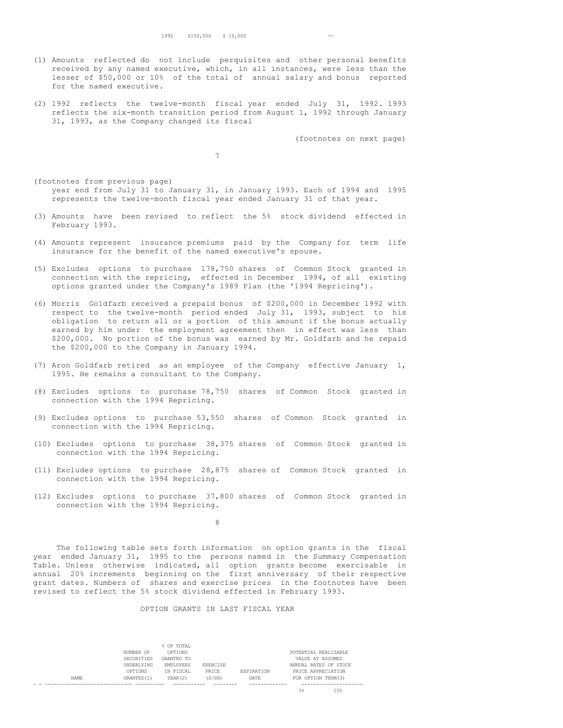- (1) Amounts reflected do not include perquisites and other personal benefits received by any named executive, which, in all instances, were less than the lesser of \$50,000 or 10% of the total of annual salary and bonus reported for the named executive.
- (2) 1992 reflects the twelve-month fiscal year ended July 31, 1992. 1993 reflects the six-month transition period from August 1, 1992 through January 31, 1993, as the Company changed its fiscal

(footnotes on next page)

7

- (footnotes from previous page) year end from July 31 to January 31, in January 1993. Each of 1994 and 1995 represents the twelve-month fiscal year ended January 31 of that year.
- (3) Amounts have been revised to reflect the 5% stock dividend effected in February 1993.
- (4) Amounts represent insurance premiums paid by the Company for term life insurance for the benefit of the named executive's spouse.
- (5) Excludes options to purchase 178,750 shares of Common Stock granted in connection with the repricing, effected in December 1994, of all existing options granted under the Company's 1989 Plan (the '1994 Repricing').
- (6) Morris Goldfarb received a prepaid bonus of \$200,000 in December 1992 with respect to the twelve-month period ended July 31, 1993, subject to his obligation to return all or a portion of this amount if the bonus actually earned by him under the employment agreement then in effect was less than \$200,000. No portion of the bonus was earned by Mr. Goldfarb and he repaid the \$200,000 to the Company in January 1994.
- (7) Aron Goldfarb retired as an employee of the Company effective January 1, 1995. He remains a consultant to the Company.
- (8) Excludes options to purchase 78,750 shares of Common Stock granted in connection with the 1994 Repricing.
- (9) Excludes options to purchase 53,550 shares of Common Stock granted in connection with the 1994 Repricing.
- (10) Excludes options to purchase 38,375 shares of Common Stock granted in connection with the 1994 Repricing.
- (11) Excludes options to purchase 28,875 shares of Common Stock granted in connection with the 1994 Repricing.
- (12) Excludes options to purchase 37,800 shares of Common Stock granted in connection with the 1994 Repricing.

8

The following table sets forth information on option grants in the fiscal year ended January 31, 1995 to the persons named in the Summary Compensation Table. Unless otherwise indicated, all option grants become exercisable in annual 20% increments beginning on the first anniversary of their respective grant dates. Numbers of shares and exercise prices in the footnotes have been revised to reflect the 5% stock dividend effected in February 1993.

# OPTION GRANTS IN LAST FISCAL YEAR

|       | NUMBER OF<br>SECURITIES<br><b>UNDERLYING</b><br>OPTIONS | % OF TOTAL<br>OPTIONS<br>GRANTED TO<br><b>EMPLOYEES</b><br>IN FISCAL | <b>EXERCTSE</b><br>PRTCE. | <b>EXPIRATION</b> | POTENTIAL REALIZABLE<br>VALUE AT ASSUMED<br>ANNUAL RATES OF STOCK<br>PRICE APPRECIATION |
|-------|---------------------------------------------------------|----------------------------------------------------------------------|---------------------------|-------------------|-----------------------------------------------------------------------------------------|
| NAME. | GRANTED (1)                                             | YEAR(2)                                                              | (S/SH)                    | DATE              | FOR OPTION TERM(3)                                                                      |
|       |                                                         |                                                                      |                           |                   |                                                                                         |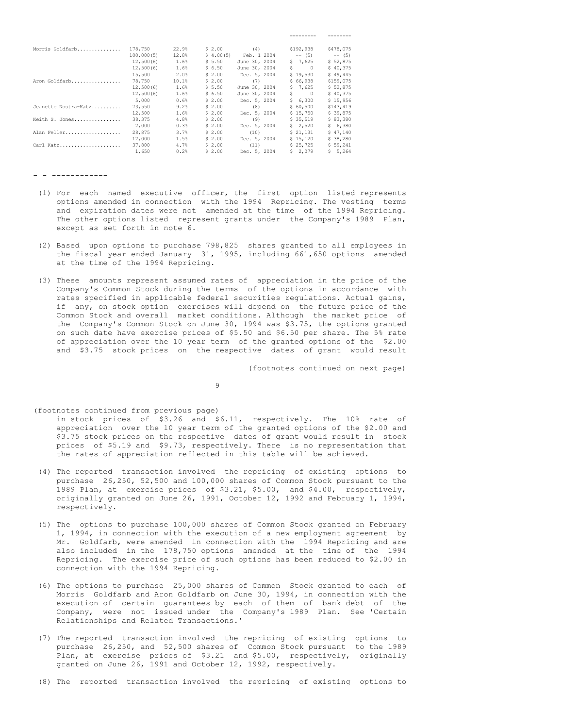| Morris Goldfarb      | 178,750    | 22.9% | \$2.00    | (4)           |   | \$192,938 | \$478,075 |
|----------------------|------------|-------|-----------|---------------|---|-----------|-----------|
|                      | 100,000(5) | 12.8% | \$4.00(5) | Feb. 1 2004   |   | $--$ (5)  | $--$ (5)  |
|                      | 12,500(6)  | 1.6%  | \$5.50    | June 30, 2004 |   | 5, 7, 625 | \$52,875  |
|                      | 12,500(6)  | 1.6%  | \$6.50    | June 30, 2004 | S | $\Omega$  | \$40,375  |
|                      | 15,500     | 2.0%  | \$2.00    | Dec. 5, 2004  |   | \$19,530  | \$49,445  |
| Aron Goldfarb        | 78,750     | 10.1% | \$2.00    | (7)           |   | \$66,938  | \$159,075 |
|                      | 12,500(6)  | 1.6%  | \$5.50    | June 30, 2004 |   | \$7,625   | \$52,875  |
|                      | 12,500(6)  | 1.6%  | \$6.50    | June 30, 2004 | S | $\Omega$  | \$40,375  |
|                      | 5,000      | 0.6%  | \$2.00    | Dec. 5, 2004  |   | \$6,300   | \$15.956  |
| Jeanette Nostra-Katz | 73,550     | 9.2%  | \$2.00    | (8)           |   | \$60,500  | \$143,419 |
|                      | 12,500     | 1.6%  | \$2.00    | Dec. 5, 2004  |   | \$15,750  | \$39,875  |
| Keith S. Jones       | 38,375     | 4.8%  | \$2.00    | (9)           |   | \$35.519  | \$83,380  |
|                      | 2,000      | 0.3%  | \$2.00    | Dec. 5, 2004  |   | \$2,520   | \$6,380   |
| Alan Feller          | 28,875     | 3.7%  | \$2.00    | (10)          |   | \$21,131  | \$47,140  |
|                      | 12,000     | 1.5%  | \$2.00    | Dec. 5, 2004  |   | \$15,120  | \$38,280  |
| Carl Katz            | 37,800     | 4.7%  | \$2.00    | (11)          |   | \$25.725  | \$59,241  |
|                      | 1,650      | 0.2%  | \$2.00    | Dec. 5, 2004  |   | \$2.079   | \$5,264   |

- - ------------

- (1) For each named executive officer, the first option listed represents options amended in connection with the 1994 Repricing. The vesting terms and expiration dates were not amended at the time of the 1994 Repricing. The other options listed represent grants under the Company's 1989 Plan, except as set forth in note 6.
- (2) Based upon options to purchase 798,825 shares granted to all employees in the fiscal year ended January 31, 1995, including 661,650 options amended at the time of the 1994 Repricing.
- (3) These amounts represent assumed rates of appreciation in the price of the Company's Common Stock during the terms of the options in accordance with rates specified in applicable federal securities regulations. Actual gains, if any, on stock option exercises will depend on the future price of the Common Stock and overall market conditions. Although the market price of the Company's Common Stock on June 30, 1994 was \$3.75, the options granted on such date have exercise prices of \$5.50 and \$6.50 per share. The 5% rate of appreciation over the 10 year term of the granted options of the \$2.00 and \$3.75 stock prices on the respective dates of grant would result

(footnotes continued on next page)

--------- --------

9

(footnotes continued from previous page)

in stock prices of \$3.26 and \$6.11, respectively. The 10% rate of appreciation over the 10 year term of the granted options of the \$2.00 and \$3.75 stock prices on the respective dates of grant would result in stock prices of \$5.19 and \$9.73, respectively. There is no representation that the rates of appreciation reflected in this table will be achieved.

- (4) The reported transaction involved the repricing of existing options to purchase 26,250, 52,500 and 100,000 shares of Common Stock pursuant to the 1989 Plan, at exercise prices of \$3.21, \$5.00, and \$4.00, respectively, originally granted on June 26, 1991, October 12, 1992 and February 1, 1994, respectively.
- (5) The options to purchase 100,000 shares of Common Stock granted on February 1, 1994, in connection with the execution of a new employment agreement by Mr. Goldfarb, were amended in connection with the 1994 Repricing and are also included in the 178,750 options amended at the time of the 1994 Repricing. The exercise price of such options has been reduced to \$2.00 in connection with the 1994 Repricing.
- (6) The options to purchase 25,000 shares of Common Stock granted to each of Morris Goldfarb and Aron Goldfarb on June 30, 1994, in connection with the execution of certain guarantees by each of them of bank debt of the Company, were not issued under the Company's 1989 Plan. See 'Certain Relationships and Related Transactions.'
- (7) The reported transaction involved the repricing of existing options to purchase 26,250, and 52,500 shares of Common Stock pursuant to the 1989 Plan, at exercise prices of \$3.21 and \$5.00, respectively, originally granted on June 26, 1991 and October 12, 1992, respectively.
- (8) The reported transaction involved the repricing of existing options to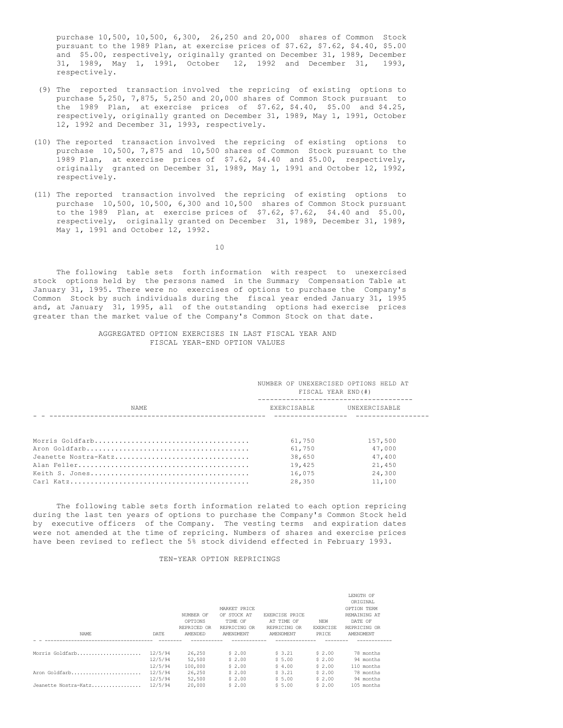purchase 10,500, 10,500, 6,300, 26,250 and 20,000 shares of Common Stock pursuant to the 1989 Plan, at exercise prices of \$7.62, \$7.62, \$4.40, \$5.00 and \$5.00, respectively, originally granted on December 31, 1989, December 31, 1989, May 1, 1991, October 12, 1992 and December 31, 1993, respectively.

- (9) The reported transaction involved the repricing of existing options to purchase 5,250, 7,875, 5,250 and 20,000 shares of Common Stock pursuant to the 1989 Plan, at exercise prices of \$7.62, \$4.40, \$5.00 and \$4.25, respectively, originally granted on December 31, 1989, May 1, 1991, October 12, 1992 and December 31, 1993, respectively.
- (10) The reported transaction involved the repricing of existing options to purchase 10,500, 7,875 and 10,500 shares of Common Stock pursuant to the 1989 Plan, at exercise prices of \$7.62, \$4.40 and \$5.00, respectively, originally granted on December 31, 1989, May 1, 1991 and October 12, 1992, respectively.
- (11) The reported transaction involved the repricing of existing options to purchase 10,500, 10,500, 6,300 and 10,500 shares of Common Stock pursuant to the 1989 Plan, at exercise prices of \$7.62, \$7.62, \$4.40 and \$5.00, respectively, originally granted on December 31, 1989, December 31, 1989, May 1, 1991 and October 12, 1992.

10

The following table sets forth information with respect to unexercised stock options held by the persons named in the Summary Compensation Table at January 31, 1995. There were no exercises of options to purchase the Company's Common Stock by such individuals during the fiscal year ended January 31, 1995 and, at January 31, 1995, all of the outstanding options had exercise prices greater than the market value of the Company's Common Stock on that date.

# AGGREGATED OPTION EXERCISES IN LAST FISCAL YEAR AND FISCAL YEAR-END OPTION VALUES

|                      | NUMBER OF UNEXERCISED OPTIONS HELD AT<br>FISCAL YEAR END(#) |               |
|----------------------|-------------------------------------------------------------|---------------|
| NAME.                | <b>EXERCISABLE</b>                                          | UNEXERCISABLE |
|                      |                                                             |               |
|                      | 61,750                                                      | 157,500       |
|                      | 61,750                                                      | 47,000        |
| Jeanette Nostra-Katz | 38,650                                                      | 47,400        |
|                      | 19,425                                                      | 21,450        |
|                      | 16,075                                                      | 24,300        |
|                      | 28,350                                                      | 11,100        |

The following table sets forth information related to each option repricing during the last ten years of options to purchase the Company's Common Stock held by executive officers of the Company. The vesting terms and expiration dates were not amended at the time of repricing. Numbers of shares and exercise prices have been revised to reflect the 5% stock dividend effected in February 1993.

## TEN-YEAR OPTION REPRICINGS

| NAME                                  | DATE                                     | NUMBER OF<br>OPTIONS<br>REPRICED OR<br>AMENDED | MARKET PRICE<br>OF STOCK AT<br>TIME OF<br>REPRICING OR<br>AMENDMENT | EXERCISE PRICE<br>AT TIME OF<br>REPRICING OR<br>AMENDMENT | NEW<br><b>EXERCISE</b><br>PRICE      | LENGTH OF<br>ORIGINAL<br>OPTION TERM<br>REMAINING AT<br>DATE OF<br>REPRICING OR<br>AMENDMENT |  |
|---------------------------------------|------------------------------------------|------------------------------------------------|---------------------------------------------------------------------|-----------------------------------------------------------|--------------------------------------|----------------------------------------------------------------------------------------------|--|
| Morris Goldfarb                       | 12/5/94<br>12/5/94                       | 26,250<br>52,500                               | \$2.00<br>\$2.00                                                    | \$3.21<br>\$5.00                                          | \$2.00<br>\$2.00                     | 78 months<br>94 months                                                                       |  |
| Aron Goldfarb<br>Jeanette Nostra-Katz | 12/5/94<br>12/5/94<br>12/5/94<br>12/5/94 | 100,000<br>26,250<br>52,500<br>20,000          | \$2.00<br>\$2.00<br>\$2.00<br>\$2.00                                | \$4.00<br>\$3.21<br>\$5.00<br>\$5.00                      | \$2.00<br>\$2.00<br>\$2.00<br>\$2.00 | 110 months<br>78 months<br>94 months<br>105 months                                           |  |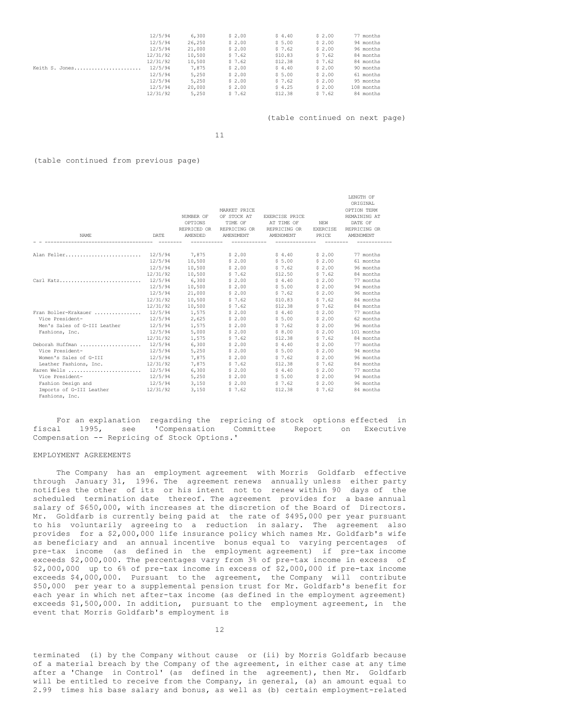|                | 12/5/94  | 6,300  | \$2.00 | \$4.40  | \$2.00 | 77 months  |
|----------------|----------|--------|--------|---------|--------|------------|
|                | 12/5/94  | 26,250 | \$2.00 | \$5.00  | \$2.00 | 94 months  |
|                | 12/5/94  | 21,000 | \$2.00 | \$7.62  | \$2.00 | 96 months  |
|                | 12/31/92 | 10,500 | \$7.62 | \$10.83 | \$7.62 | 84 months  |
|                | 12/31/92 | 10,500 | \$7.62 | \$12.38 | \$7.62 | 84 months  |
| Keith S. Jones | 12/5/94  | 7,875  | \$2.00 | \$4.40  | \$2.00 | 90 months  |
|                | 12/5/94  | 5,250  | \$2.00 | \$5.00  | \$2.00 | 61 months  |
|                | 12/5/94  | 5,250  | \$2.00 | \$7.62  | \$2.00 | 95 months  |
|                | 12/5/94  | 20,000 | \$2.00 | \$4.25  | \$2.00 | 108 months |
|                | 12/31/92 | 5,250  | \$7.62 | \$12.38 | \$7.62 | 84 months  |

(table continued on next page)

LENGTH OF

11

## (table continued from previous page)

|                                      |          |                  |                       |                |                 | ----------   |
|--------------------------------------|----------|------------------|-----------------------|----------------|-----------------|--------------|
|                                      |          |                  |                       |                |                 | ORIGINAL     |
|                                      |          |                  | MARKET PRICE          |                |                 | OPTION TERM  |
|                                      |          | NUMBER OF        | OF STOCK AT           | EXERCISE PRICE |                 | REMAINING AT |
|                                      |          | OPTIONS          | TIME OF               | AT TIME OF     | NEW             | DATE OF      |
|                                      |          | REPRICED OR      | REPRICING OR          | REPRICING OR   | <b>EXERCISE</b> | REPRICING OR |
| NAME                                 | DATE     | AMENDED          | AMENDMENT             | AMENDMENT      | PRICE           | AMENDMENT    |
| Alan Feller                          |          |                  | 12/5/94 7,875 \$ 2.00 | \$4.40         | \$2.00          | 77 months    |
|                                      |          | 12/5/94 10,500   | \$2.00                | \$5.00         | \$2.00          | 61 months    |
|                                      |          | 12/5/94 10,500   | \$ 2.00               | \$7.62         | \$2.00          | 96 months    |
|                                      | 12/31/92 | 10,500           | 57.62                 | \$12.50        | \$7.62          | 84 months    |
| Carl Katz 12/5/94                    |          | 6,300            | \$2.00                | \$4.40         | \$2.00          | 77 months    |
|                                      | 12/5/94  | 10,500           | \$2.00                | \$5.00         | \$2.00          | 94 months    |
|                                      | 12/5/94  | 21,000           | \$2.00                | \$7.62         | \$2.00          | 96 months    |
|                                      | 12/31/92 | 10,500           | \$7.62                | \$10.83        | \$7.62          | 84 months    |
|                                      | 12/31/92 | 10,500           | \$7.62                | \$12.38        | \$7.62          | 84 months    |
| Fran Boller-Krakauer  12/5/94        |          | 1,575            | \$2.00                | 54.40          | \$2.00          | 77 months    |
| Vice President-                      | 12/5/94  | 2,625            | \$2.00                | \$5.00         | \$2.00          | 62 months    |
| Men's Sales of G-III Leather         |          | 12/5/94 1.575    | \$2.00                | \$7.62         | \$2.00          | 96 months    |
| Fashions, Inc.                       | 12/5/94  | 5,000            | \$2.00                | \$8.00         | \$2.00          | 101 months   |
|                                      | 12/31/92 | 1,575            | \$7.62                | \$12.38        | \$7.62          | 84 months    |
| Deborah Huffman                      | 12/5/94  | 6,300            | \$2.00                | 54.40          | \$2.00          | 77 months    |
| Vice President-                      | 12/5/94  | 5,250            | \$2.00                | \$5.00         | \$2.00          | 94 months    |
| Women's Sales of G-III 12/5/94       |          | 7,875            | \$2.00                | \$7.62         | \$2.00          | 96 months    |
| Leather Fashions, Inc.               | 12/31/92 | 7,875            | \$7.62                | \$12.38        | \$7.62          | 84 months    |
| Karen Wells                          | 12/5/94  | 6,300            | \$ 2.00               | \$4.40         | \$2.00          | 77 months    |
| Vice President-                      | 12/5/94  | 5,250            | \$2.00                | \$5.00         | \$2.00          | 94 months    |
| Fashion Design and                   |          | $12/5/94$ 3, 150 | \$2.00                | \$7.62         | \$2.00          | 96 months    |
| Imports of G-III Leather<br>12/31/92 |          | 3,150            | \$7.62                | \$12.38        | \$7.62          | 84 months    |
| Fashions, Inc.                       |          |                  |                       |                |                 |              |

|  | For an explanation regarding the repricing of stock options effected in |  |  |  |  |  |
|--|-------------------------------------------------------------------------|--|--|--|--|--|
|  | fiscal 1995, see 'Compensation Committee Report on Executive            |  |  |  |  |  |
|  | Compensation -- Repricing of Stock Options.'                            |  |  |  |  |  |

## EMPLOYMENT AGREEMENTS

The Company has an employment agreement with Morris Goldfarb effective through January 31, 1996. The agreement renews annually unless either party notifies the other of its or his intent not to renew within 90 days of the scheduled termination date thereof. The agreement provides for a base annual salary of \$650,000, with increases at the discretion of the Board of Directors. Mr. Goldfarb is currently being paid at the rate of \$495,000 per year pursuant to his voluntarily agreeing to a reduction in salary. The agreement also provides for a \$2,000,000 life insurance policy which names Mr. Goldfarb's wife as beneficiary and an annual incentive bonus equal to varying percentages of pre-tax income (as defined in the employment agreement) if pre-tax income exceeds \$2,000,000. The percentages vary from 3% of pre-tax income in excess of \$2,000,000 up to 6% of pre-tax income in excess of \$2,000,000 if pre-tax income exceeds \$4,000,000. Pursuant to the agreement, the Company will contribute \$50,000 per year to a supplemental pension trust for Mr. Goldfarb's benefit for each year in which net after-tax income (as defined in the employment agreement) exceeds \$1,500,000. In addition, pursuant to the employment agreement, in the event that Morris Goldfarb's employment is

12

terminated (i) by the Company without cause or (ii) by Morris Goldfarb because of a material breach by the Company of the agreement, in either case at any time after a 'Change in Control' (as defined in the agreement), then Mr. Goldfarb will be entitled to receive from the Company, in general, (a) an amount equal to 2.99 times his base salary and bonus, as well as (b) certain employment-related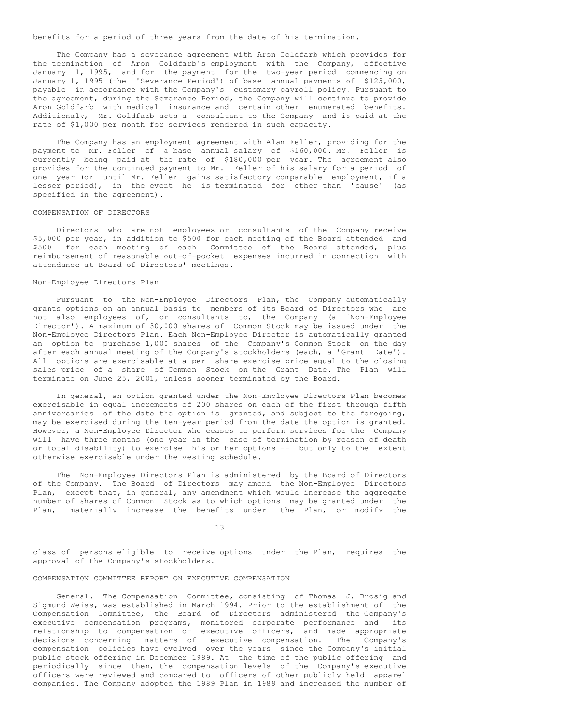benefits for a period of three years from the date of his termination.

The Company has a severance agreement with Aron Goldfarb which provides for the termination of Aron Goldfarb's employment with the Company, effective January 1, 1995, and for the payment for the two-year period commencing on January 1, 1995 (the 'Severance Period') of base annual payments of \$125,000, payable in accordance with the Company's customary payroll policy. Pursuant to the agreement, during the Severance Period, the Company will continue to provide Aron Goldfarb with medical insurance and certain other enumerated benefits. Additionaly, Mr. Goldfarb acts a consultant to the Company and is paid at the rate of \$1,000 per month for services rendered in such capacity.

The Company has an employment agreement with Alan Feller, providing for the payment to Mr. Feller of a base annual salary of \$160,000. Mr. Feller is currently being paid at the rate of \$180,000 per year. The agreement also provides for the continued payment to Mr. Feller of his salary for a period of one year (or until Mr. Feller gains satisfactory comparable employment, if a lesser period), in the event he is terminated for other than 'cause' (as specified in the agreement).

## COMPENSATION OF DIRECTORS

Directors who are not employees or consultants of the Company receive \$5,000 per year, in addition to \$500 for each meeting of the Board attended and \$500 for each meeting of each Committee of the Board attended, plus reimbursement of reasonable out-of-pocket expenses incurred in connection with attendance at Board of Directors' meetings.

### Non-Employee Directors Plan

Pursuant to the Non-Employee Directors Plan, the Company automatically grants options on an annual basis to members of its Board of Directors who are not also employees of, or consultants to, the Company (a 'Non-Employee Director'). A maximum of 30,000 shares of Common Stock may be issued under the Non-Employee Directors Plan. Each Non-Employee Director is automatically granted an option to purchase 1,000 shares of the Company's Common Stock on the day after each annual meeting of the Company's stockholders (each, a 'Grant Date'). All options are exercisable at a per share exercise price equal to the closing sales price of a share of Common Stock on the Grant Date. The Plan will terminate on June 25, 2001, unless sooner terminated by the Board.

In general, an option granted under the Non-Employee Directors Plan becomes exercisable in equal increments of 200 shares on each of the first through fifth anniversaries of the date the option is granted, and subject to the foregoing, may be exercised during the ten-year period from the date the option is granted. However, a Non-Employee Director who ceases to perform services for the Company will have three months (one year in the case of termination by reason of death or total disability) to exercise his or her options -- but only to the extent otherwise exercisable under the vesting schedule.

The Non-Employee Directors Plan is administered by the Board of Directors of the Company. The Board of Directors may amend the Non-Employee Directors Plan, except that, in general, any amendment which would increase the aggregate number of shares of Common Stock as to which options may be granted under the Plan, materially increase the benefits under the Plan, or modify the

13

class of persons eligible to receive options under the Plan, requires the approval of the Company's stockholders.

## COMPENSATION COMMITTEE REPORT ON EXECUTIVE COMPENSATION

General. The Compensation Committee, consisting of Thomas J. Brosig and Sigmund Weiss, was established in March 1994. Prior to the establishment of the Compensation Committee, the Board of Directors administered the Company's executive compensation programs, monitored corporate performance and its relationship to compensation of executive officers, and made appropriate decisions concerning matters of executive compensation. The Company's compensation policies have evolved over the years since the Company's initial public stock offering in December 1989. At the time of the public offering and periodically since then, the compensation levels of the Company's executive officers were reviewed and compared to officers of other publicly held apparel companies. The Company adopted the 1989 Plan in 1989 and increased the number of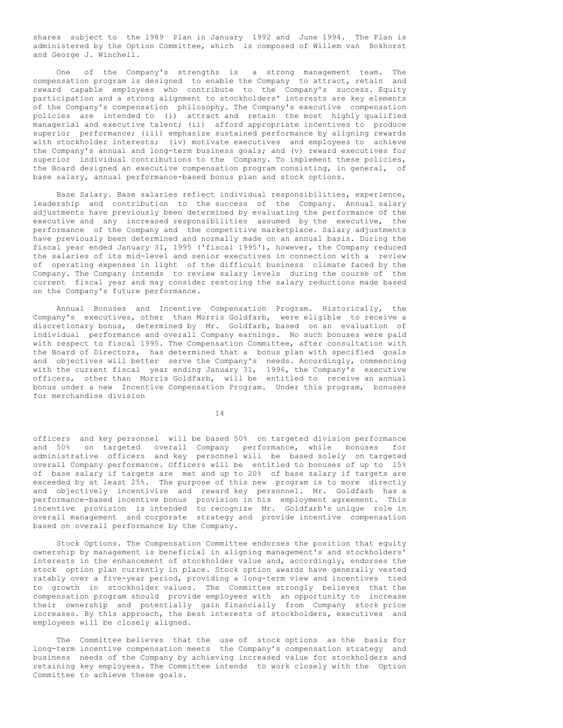shares subject to the 1989 Plan in January 1992 and June 1994. The Plan is administered by the Option Committee, which is composed of Willem van Bokhorst and George J. Winchell.

One of the Company's strengths is a strong management team. The compensation program is designed to enable the Company to attract, retain and reward capable employees who contribute to the Company's success. Equity participation and a strong alignment to stockholders' interests are key elements of the Company's compensation philosophy. The Company's executive compensation policies are intended to (i) attract and retain the most highly qualified managerial and executive talent; (ii) afford appropriate incentives to produce superior performance; (iii) emphasize sustained performance by aligning rewards with stockholder interests; (iv) motivate executives and employees to achieve the Company's annual and long-term business goals; and (v) reward executives for superior individual contributions to the Company. To implement these policies, the Board designed an executive compensation program consisting, in general, of base salary, annual performance-based bonus plan and stock options.

Base Salary. Base salaries reflect individual responsibilities, experience, leadership and contribution to the success of the Company. Annual salary adjustments have previously been determined by evaluating the performance of the executive and any increased responsibilities assumed by the executive, the performance of the Company and the competitive marketplace. Salary adjustments have previously been determined and normally made on an annual basis. During the fiscal year ended January 31, 1995 ('fiscal 1995'), however, the Company reduced the salaries of its mid-level and senior executives in connection with a review of operating expenses in light of the difficult business climate faced by the Company. The Company intends to review salary levels during the course of the current fiscal year and may consider restoring the salary reductions made based on the Company's future performance.

Annual Bonuses and Incentive Compensation Program. Historically, the Company's executives, other than Morris Goldfarb, were eligible to receive a discretionary bonus, determined by Mr. Goldfarb, based on an evaluation of individual performance and overall Company earnings. No such bonuses were paid with respect to fiscal 1995. The Compensation Committee, after consultation with the Board of Directors, has determined that a bonus plan with specified goals and objectives will better serve the Company's needs. Accordingly, commencing with the current fiscal year ending January 31, 1996, the Company's executive officers, other than Morris Goldfarb, will be entitled to receive an annual bonus under a new Incentive Compensation Program. Under this program, bonuses for merchandise division

14

officers and key personnel will be based 50% on targeted division performance and 50% on targeted overall Company performance, while bonuses for administrative officers and key personnel will be based solely on targeted overall Company performance. Officers will be entitled to bonuses of up to 15% of base salary if targets are met and up to 20% of base salary if targets are exceeded by at least 25%. The purpose of this new program is to more directly and objectively incentivize and reward key personnel. Mr. Goldfarb has a performance-based incentive bonus provision in his employment agreement. This incentive provision is intended to recognize Mr. Goldfarb's unique role in overall management and corporate strategy and provide incentive compensation based on overall performance by the Company.

Stock Options. The Compensation Committee endorses the position that equity ownership by management is beneficial in aligning management's and stockholders' interests in the enhancement of stockholder value and, accordingly, endorses the stock option plan currently in place. Stock option awards have generally vested ratably over a five-year period, providing a long-term view and incentives tied to growth in stockholder values. The Committee strongly believes that the compensation program should provide employees with an opportunity to increase their ownership and potentially gain financially from Company stock price increases. By this approach, the best interests of stockholders, executives and employees will be closely aligned.

The Committee believes that the use of stock options as the basis for long-term incentive compensation meets the Company's compensation strategy and business needs of the Company by achieving increased value for stockholders and retaining key employees. The Committee intends to work closely with the Option Committee to achieve these goals.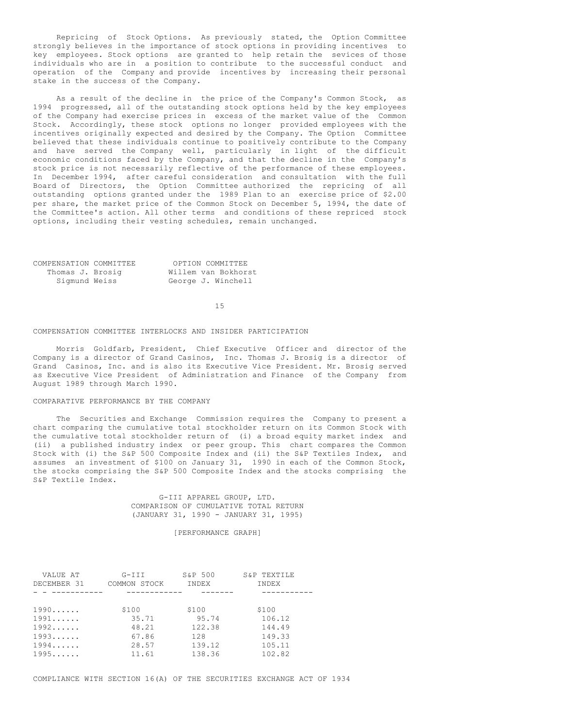Repricing of Stock Options. As previously stated, the Option Committee strongly believes in the importance of stock options in providing incentives to key employees. Stock options are granted to help retain the sevices of those individuals who are in a position to contribute to the successful conduct and operation of the Company and provide incentives by increasing their personal stake in the success of the Company.

As a result of the decline in the price of the Company's Common Stock, as 1994 progressed, all of the outstanding stock options held by the key employees of the Company had exercise prices in excess of the market value of the Common Stock. Accordingly, these stock options no longer provided employees with the incentives originally expected and desired by the Company. The Option Committee believed that these individuals continue to positively contribute to the Company and have served the Company well, particularly in light of the difficult economic conditions faced by the Company, and that the decline in the Company's stock price is not necessarily reflective of the performance of these employees. In December 1994, after careful consideration and consultation with the full Board of Directors, the Option Committee authorized the repricing of all outstanding options granted under the 1989 Plan to an exercise price of \$2.00 per share, the market price of the Common Stock on December 5, 1994, the date of the Committee's action. All other terms and conditions of these repriced stock options, including their vesting schedules, remain unchanged.

| COMPENSATION COMMITTEE | OPTION COMMITTEE    |
|------------------------|---------------------|
| Thomas J. Brosig       | Willem van Bokhorst |
| Sigmund Weiss          | George J. Winchell  |

15

## COMPENSATION COMMITTEE INTERLOCKS AND INSIDER PARTICIPATION

Morris Goldfarb, President, Chief Executive Officer and director of the Company is a director of Grand Casinos, Inc. Thomas J. Brosig is a director of Grand Casinos, Inc. and is also its Executive Vice President. Mr. Brosig served as Executive Vice President of Administration and Finance of the Company from August 1989 through March 1990.

# COMPARATIVE PERFORMANCE BY THE COMPANY

The Securities and Exchange Commission requires the Company to present a chart comparing the cumulative total stockholder return on its Common Stock with the cumulative total stockholder return of (i) a broad equity market index and (ii) a published industry index or peer group. This chart compares the Common Stock with (i) the S&P 500 Composite Index and (ii) the S&P Textiles Index, and assumes an investment of \$100 on January 31, 1990 in each of the Common Stock, the stocks comprising the S&P 500 Composite Index and the stocks comprising the S&P Textile Index.

> G-III APPAREL GROUP, LTD. COMPARISON OF CUMULATIVE TOTAL RETURN (JANUARY 31, 1990 - JANUARY 31, 1995)

### [PERFORMANCE GRAPH]

| VALUE AT    | G-III        | S&P 500 | S&P TEXTILE  |
|-------------|--------------|---------|--------------|
| DECEMBER 31 | COMMON STOCK | INDEX   | <b>TNDEX</b> |
|             |              |         |              |
|             |              |         |              |
| 1990        | \$100        | \$100   | \$100        |
| 1991        | 35.71        | 95.74   | 106.12       |
| 1992        | 48.21        | 122.38  | 144.49       |
| 1993        | 67.86        | 128     | 149.33       |
| 1994        | 28.57        | 139.12  | 105.11       |
| 1995        | 11.61        | 138.36  | 102.82       |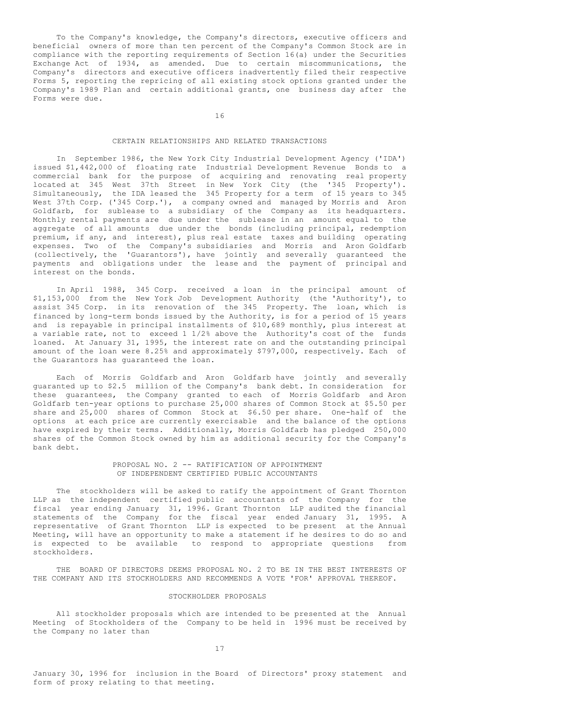To the Company's knowledge, the Company's directors, executive officers and beneficial owners of more than ten percent of the Company's Common Stock are in compliance with the reporting requirements of Section 16(a) under the Securities Exchange Act of 1934, as amended. Due to certain miscommunications, the Company's directors and executive officers inadvertently filed their respective Forms 5, reporting the repricing of all existing stock options granted under the Company's 1989 Plan and certain additional grants, one business day after the Forms were due.

16

# CERTAIN RELATIONSHIPS AND RELATED TRANSACTIONS

In September 1986, the New York City Industrial Development Agency ('IDA') issued \$1,442,000 of floating rate Industrial Development Revenue Bonds to a commercial bank for the purpose of acquiring and renovating real property located at 345 West 37th Street in New York City (the '345 Property'). Simultaneously, the IDA leased the 345 Property for a term of 15 years to 345 West 37th Corp. ('345 Corp.'), a company owned and managed by Morris and Aron Goldfarb, for sublease to a subsidiary of the Company as its headquarters. Monthly rental payments are due under the sublease in an amount equal to the aggregate of all amounts due under the bonds (including principal, redemption premium, if any, and interest), plus real estate taxes and building operating expenses. Two of the Company's subsidiaries and Morris and Aron Goldfarb (collectively, the 'Guarantors'), have jointly and severally guaranteed the payments and obligations under the lease and the payment of principal and interest on the bonds.

In April 1988, 345 Corp. received a loan in the principal amount of \$1,153,000 from the New York Job Development Authority (the 'Authority'), to assist 345 Corp. in its renovation of the 345 Property. The loan, which is financed by long-term bonds issued by the Authority, is for a period of 15 years and is repayable in principal installments of \$10,689 monthly, plus interest at a variable rate, not to exceed 1 1/2% above the Authority's cost of the funds loaned. At January 31, 1995, the interest rate on and the outstanding principal amount of the loan were 8.25% and approximately \$797,000, respectively. Each of the Guarantors has guaranteed the loan.

Each of Morris Goldfarb and Aron Goldfarb have jointly and severally guaranted up to \$2.5 million of the Company's bank debt. In consideration for these guarantees, the Company granted to each of Morris Goldfarb and Aron Goldfarb ten-year options to purchase 25,000 shares of Common Stock at \$5.50 per share and 25,000 shares of Common Stock at \$6.50 per share. One-half of the options at each price are currently exercisable and the balance of the options have expired by their terms. Additionally, Morris Goldfarb has pledged 250,000 shares of the Common Stock owned by him as additional security for the Company's bank debt.

# PROPOSAL NO. 2 -- RATIFICATION OF APPOINTMENT OF INDEPENDENT CERTIFIED PUBLIC ACCOUNTANTS

The stockholders will be asked to ratify the appointment of Grant Thornton LLP as the independent certified public accountants of the Company for the fiscal year ending January 31, 1996. Grant Thornton LLP audited the financial statements of the Company for the fiscal year ended January 31, 1995. A representative of Grant Thornton LLP is expected to be present at the Annual Meeting, will have an opportunity to make a statement if he desires to do so and is expected to be available to respond to appropriate questions from stockholders.

THE BOARD OF DIRECTORS DEEMS PROPOSAL NO. 2 TO BE IN THE BEST INTERESTS OF THE COMPANY AND ITS STOCKHOLDERS AND RECOMMENDS A VOTE 'FOR' APPROVAL THEREOF.

#### STOCKHOLDER PROPOSALS

All stockholder proposals which are intended to be presented at the Annual Meeting of Stockholders of the Company to be held in 1996 must be received by the Company no later than

January 30, 1996 for inclusion in the Board of Directors' proxy statement and form of proxy relating to that meeting.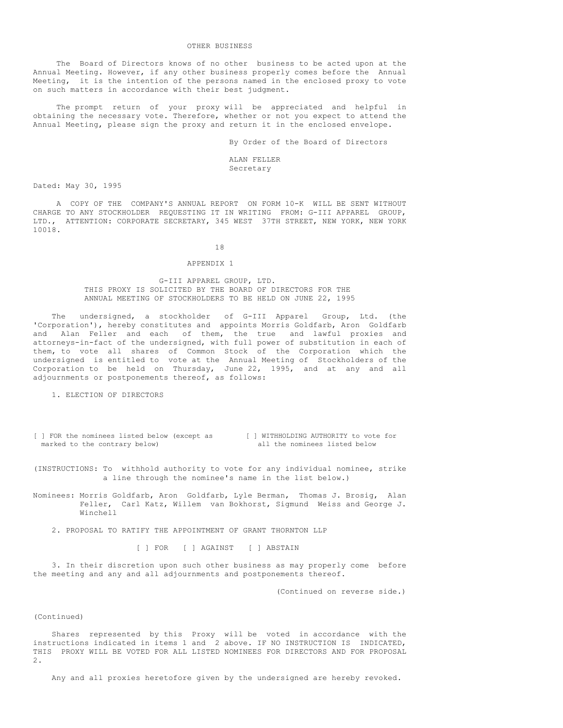#### OTHER BUSINESS

The Board of Directors knows of no other business to be acted upon at the Annual Meeting. However, if any other business properly comes before the Annual Meeting, it is the intention of the persons named in the enclosed proxy to vote on such matters in accordance with their best judgment.

The prompt return of your proxy will be appreciated and helpful in obtaining the necessary vote. Therefore, whether or not you expect to attend the Annual Meeting, please sign the proxy and return it in the enclosed envelope.

By Order of the Board of Directors

ALAN FELLER Secretary

Dated: May 30, 1995

A COPY OF THE COMPANY'S ANNUAL REPORT ON FORM 10-K WILL BE SENT WITHOUT CHARGE TO ANY STOCKHOLDER REQUESTING IT IN WRITING FROM: G-III APPAREL GROUP, LTD., ATTENTION: CORPORATE SECRETARY, 345 WEST 37TH STREET, NEW YORK, NEW YORK 10018.

## 18

#### APPENDIX 1

#### G-III APPAREL GROUP, LTD. THIS PROXY IS SOLICITED BY THE BOARD OF DIRECTORS FOR THE ANNUAL MEETING OF STOCKHOLDERS TO BE HELD ON JUNE 22, 1995

The undersigned, a stockholder of G-III Apparel Group, Ltd. (the 'Corporation'), hereby constitutes and appoints Morris Goldfarb, Aron Goldfarb and Alan Feller and each of them, the true and lawful proxies and attorneys-in-fact of the undersigned, with full power of substitution in each of them, to vote all shares of Common Stock of the Corporation which the undersigned is entitled to vote at the Annual Meeting of Stockholders of the Corporation to be held on Thursday, June 22, 1995, and at any and all adjournments or postponements thereof, as follows:

1. ELECTION OF DIRECTORS

- [ ] FOR the nominees listed below (except as [ ] WITHHOLDING AUTHORITY to vote for narked to the contrary below) all the nominees listed below marked to the contrary below)
- (INSTRUCTIONS: To withhold authority to vote for any individual nominee, strike a line through the nominee's name in the list below.)
- Nominees: Morris Goldfarb, Aron Goldfarb, Lyle Berman, Thomas J. Brosig, Alan Feller, Carl Katz, Willem van Bokhorst, Sigmund Weiss and George J. Winchell
	- 2. PROPOSAL TO RATIFY THE APPOINTMENT OF GRANT THORNTON LLP

[ ] FOR [ ] AGAINST [ ] ABSTAIN

3. In their discretion upon such other business as may properly come before the meeting and any and all adjournments and postponements thereof.

(Continued on reverse side.)

## (Continued)

Shares represented by this Proxy will be voted in accordance with the instructions indicated in items 1 and 2 above. IF NO INSTRUCTION IS INDICATED, THIS PROXY WILL BE VOTED FOR ALL LISTED NOMINEES FOR DIRECTORS AND FOR PROPOSAL 2.

Any and all proxies heretofore given by the undersigned are hereby revoked.